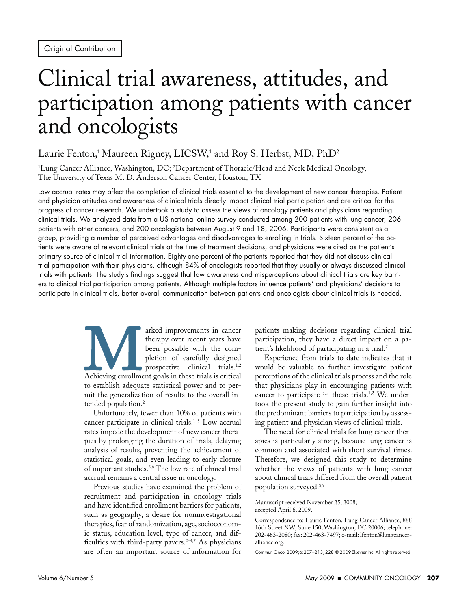# Clinical trial awareness, attitudes, and participation among patients with cancer and oncologists

## Laurie Fenton, $^1$ Maureen Rigney, LICSW, $^1$  and Roy S. Herbst, MD, PhD $^2$

1 Lung Cancer Alliance, Washington, DC; 2 Department of Thoracic/Head and Neck Medical Oncology, The University of Texas M. D. Anderson Cancer Center, Houston, TX

Low accrual rates may affect the completion of clinical trials essential to the development of new cancer therapies. Patient and physician attitudes and awareness of clinical trials directly impact clinical trial participation and are critical for the progress of cancer research. We undertook a study to assess the views of oncology patients and physicians regarding clinical trials. We analyzed data from a US national online survey conducted among 200 patients with lung cancer, 206 patients with other cancers, and 200 oncologists between August 9 and 18, 2006. Participants were consistent as a group, providing a number of perceived advantages and disadvantages to enrolling in trials. Sixteen percent of the patients were aware of relevant clinical trials at the time of treatment decisions, and physicians were cited as the patient's primary source of clinical trial information. Eighty-one percent of the patients reported that they did not discuss clinical trial participation with their physicians, although 84% of oncologists reported that they usually or always discussed clinical trials with patients. The study's findings suggest that low awareness and misperceptions about clinical trials are key barriers to clinical trial participation among patients. Although multiple factors influence patients' and physicians' decisions to participate in clinical trials, better overall communication between patients and oncologists about clinical trials is needed.

> arked improvements in cancer<br>
> therapy over recent years have<br>
> been possible with the com-<br>
> pletion of carefully designed<br>
> prospective clinical trials.<sup>1,2</sup><br>
> Achieving enrollment goals in these trials is critical<br>
> to establ therapy over recent years have been possible with the completion of carefully designed prospective clinical trials.<sup>1,2</sup> to establish adequate statistical power and to permit the generalization of results to the overall intended population.<sup>2</sup>

> Unfortunately, fewer than 10% of patients with cancer participate in clinical trials.<sup>1-5</sup> Low accrual rates impede the development of new cancer therapies by prolonging the duration of trials, delaying analysis of results, preventing the achievement of statistical goals, and even leading to early closure of important studies.2,6 The low rate of clinical trial accrual remains a central issue in oncology.

> Previous studies have examined the problem of recruitment and participation in oncology trials and have identified enrollment barriers for patients, such as geography, a desire for noninvestigational therapies, fear of randomization, age, socioeconomic status, education level, type of cancer, and difficulties with third-party payers. $2-4,7$  As physicians are often an important source of information for

patients making decisions regarding clinical trial participation, they have a direct impact on a patient's likelihood of participating in a trial.7

Experience from trials to date indicates that it would be valuable to further investigate patient perceptions of the clinical trials process and the role that physicians play in encouraging patients with cancer to participate in these trials.<sup>1,2</sup> We undertook the present study to gain further insight into the predominant barriers to participation by assessing patient and physician views of clinical trials.

The need for clinical trials for lung cancer therapies is particularly strong, because lung cancer is common and associated with short survival times. Therefore, we designed this study to determine whether the views of patients with lung cancer about clinical trials differed from the overall patient population surveyed.8,9

Manuscript received November 25, 2008; accepted April 6, 2009.

Correspondence to: Laurie Fenton, Lung Cancer Alliance, 888 16th Street NW, Suite 150, Washington, DC 20006; telephone: 202-463-2080; fax: 202-463-7497; e-mail: lfenton@lungcanceralliance.org.

Commun Oncol 2009;6:207–213, 228 © 2009 Elsevier Inc. All rights reserved.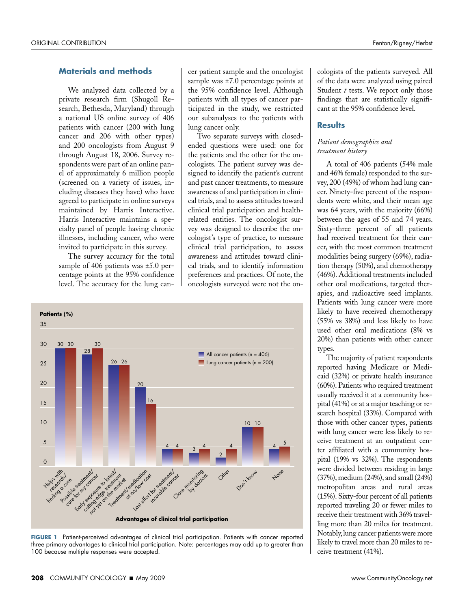#### **Materials and methods**

We analyzed data collected by a private research firm (Shugoll Research, Bethesda, Maryland) through a national US online survey of 406 patients with cancer (200 with lung cancer and 206 with other types) and 200 oncologists from August 9 through August 18, 2006. Survey respondents were part of an online panel of approximately 6 million people (screened on a variety of issues, including diseases they have) who have agreed to participate in online surveys maintained by Harris Interactive. Harris Interactive maintains a specialty panel of people having chronic illnesses, including cancer, who were invited to participate in this survey.

The survey accuracy for the total sample of 406 patients was  $\pm 5.0$  percentage points at the 95% confidence level. The accuracy for the lung cancer patient sample and the oncologist sample was  $\pm 7.0$  percentage points at the 95% confidence level. Although patients with all types of cancer participated in the study, we restricted our subanalyses to the patients with lung cancer only.

Two separate surveys with closedended questions were used: one for the patients and the other for the oncologists. The patient survey was designed to identify the patient's current and past cancer treatments, to measure awareness of and participation in clinical trials, and to assess attitudes toward clinical trial participation and healthrelated entities. The oncologist survey was designed to describe the oncologist's type of practice, to measure clinical trial participation, to assess awareness and attitudes toward clinical trials, and to identify information preferences and practices. Of note, the oncologists surveyed were not the on-



**FIGURE 1** Patient-perceived advantages of clinical trial participation. Patients with cancer reported three primary advantages to clinical trial participation. Note: percentages may add up to greater than 100 because multiple responses were accepted.

cologists of the patients surveyed. All of the data were analyzed using paired Student *t* tests. We report only those findings that are statistically significant at the 95% confidence level.

#### **Results**

#### *Patient demographics and treatment history*

other oral medications, targeted ther-A total of 406 patients (54% male and 46% female) responded to the survey, 200 (49%) of whom had lung cancer. Ninety-five percent of the respondents were white, and their mean age was 64 years, with the majority (66%) between the ages of 55 and 74 years. Sixty-three percent of all patients had received treatment for their cancer, with the most common treatment modalities being surgery (69%), radiation therapy (50%), and chemotherapy (46%). Additional treatments included apies, and radioactive seed implants. Patients with lung cancer were more likely to have received chemotherapy (55% vs 38%) and less likely to have used other oral medications (8% vs 20%) than patients with other cancer types.

The majority of patient respondents reported having Medicare or Medicaid (32%) or private health insurance (60%). Patients who required treatment usually received it at a community hospital (41%) or at a major teaching or research hospital (33%). Compared with those with other cancer types, patients with lung cancer were less likely to receive treatment at an outpatient center affiliated with a community hospital (19% vs 32%). The respondents were divided between residing in large (37%), medium (24%), and small (24%) metropolitan areas and rural areas (15%). Sixty-four percent of all patients reported traveling 20 or fewer miles to receive their treatment with 36% travelling more than 20 miles for treatment. Notably, lung cancer patients were more likely to travel more than 20 miles to receive treatment (41%).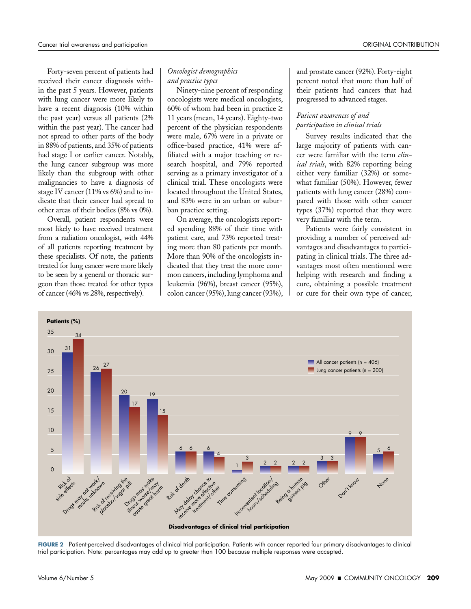Forty-seven percent of patients had received their cancer diagnosis within the past 5 years. However, patients with lung cancer were more likely to have a recent diagnosis (10% within the past year) versus all patients (2% within the past year). The cancer had not spread to other parts of the body in 88% of patients, and 35% of patients had stage I or earlier cancer. Notably, the lung cancer subgroup was more likely than the subgroup with other malignancies to have a diagnosis of stage IV cancer (11% vs 6%) and to indicate that their cancer had spread to other areas of their bodies (8% vs 0%).

Overall, patient respondents were most likely to have received treatment from a radiation oncologist, with 44% of all patients reporting treatment by these specialists. Of note, the patients treated for lung cancer were more likely to be seen by a general or thoracic surgeon than those treated for other types of cancer (46% vs 28%, respectively).

#### *Oncologist demographics and practice types*

Ninety-nine percent of responding oncologists were medical oncologists, 60% of whom had been in practice  $\geq$ 11 years (mean, 14 years). Eighty-two percent of the physician respondents were male, 67% were in a private or office-based practice, 41% were affiliated with a major teaching or research hospital, and 79% reported serving as a primary investigator of a clinical trial. These oncologists were located throughout the United States, and 83% were in an urban or suburban practice setting.

On average, the oncologists reported spending 88% of their time with patient care, and 73% reported treating more than 80 patients per month. More than 90% of the oncologists indicated that they treat the more common cancers, including lymphoma and leukemia (96%), breast cancer (95%), colon cancer (95%), lung cancer (93%), and prostate cancer (92%). Forty-eight percent noted that more than half of their patients had cancers that had progressed to advanced stages.

#### *Patient awareness of and participation in clinical trials*

Survey results indicated that the large majority of patients with cancer were familiar with the term *clinical trials*, with 82% reporting being either very familiar (32%) or somewhat familiar (50%). However, fewer patients with lung cancer (28%) compared with those with other cancer types (37%) reported that they were very familiar with the term.

Patients were fairly consistent in providing a number of perceived advantages and disadvantages to participating in clinical trials. The three advantages most often mentioned were helping with research and finding a cure, obtaining a possible treatment or cure for their own type of cancer,



**FIGURE 2** Patient-perceived disadvantages of clinical trial participation. Patients with cancer reported four primary disadvantages to clinical trial participation. Note: percentages may add up to greater than 100 because multiple responses were accepted.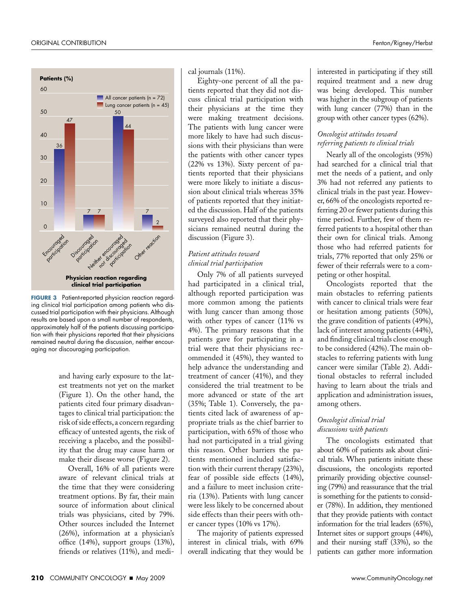

**FIGURE 3** Patient-reported physician reaction regarding clinical trial participation among patients who discussed trial participation with their physicians. Although results are based upon a small number of respondents, approximately half of the patients discussing participation with their physicians reported that their physicians remained neutral during the discussion, neither encouraging nor discouraging participation.

and having early exposure to the latest treatments not yet on the market (Figure 1). On the other hand, the patients cited four primary disadvantages to clinical trial participation: the risk of side effects, a concern regarding efficacy of untested agents, the risk of receiving a placebo, and the possibility that the drug may cause harm or make their disease worse (Figure 2).

Overall, 16% of all patients were aware of relevant clinical trials at the time that they were considering treatment options. By far, their main source of information about clinical trials was physicians, cited by 79%. Other sources included the Internet (26%), information at a physician's office (14%), support groups (13%), friends or relatives (11%), and medical journals (11%).

Eighty-one percent of all the patients reported that they did not discuss clinical trial participation with their physicians at the time they were making treatment decisions. The patients with lung cancer were more likely to have had such discussions with their physicians than were the patients with other cancer types (22% vs 13%). Sixty percent of patients reported that their physicians were more likely to initiate a discussion about clinical trials whereas 35% of patients reported that they initiated the discussion. Half of the patients surveyed also reported that their physicians remained neutral during the discussion (Figure 3).

#### *Patient attitudes toward clinical trial participation*

Only 7% of all patients surveyed had participated in a clinical trial, although reported participation was more common among the patients with lung cancer than among those with other types of cancer (11% vs 4%). The primary reasons that the patients gave for participating in a trial were that their physicians recommended it (45%), they wanted to help advance the understanding and treatment of cancer (41%), and they considered the trial treatment to be more advanced or state of the art (35%; Table 1). Conversely, the patients cited lack of awareness of appropriate trials as the chief barrier to participation, with 65% of those who had not participated in a trial giving this reason. Other barriers the patients mentioned included satisfaction with their current therapy (23%), fear of possible side effects (14%), and a failure to meet inclusion criteria (13%). Patients with lung cancer were less likely to be concerned about side effects than their peers with other cancer types (10% vs 17%).

The majority of patients expressed interest in clinical trials, with 69% overall indicating that they would be interested in participating if they still required treatment and a new drug was being developed. This number was higher in the subgroup of patients with lung cancer (77%) than in the group with other cancer types (62%).

### *Oncologist attitudes toward referring patients to clinical trials*

Nearly all of the oncologists (95%) had searched for a clinical trial that met the needs of a patient, and only 3% had not referred any patients to clinical trials in the past year. However, 66% of the oncologists reported referring 20 or fewer patients during this time period. Further, few of them referred patients to a hospital other than their own for clinical trials. Among those who had referred patients for trials, 77% reported that only 25% or fewer of their referrals were to a competing or other hospital.

Oncologists reported that the main obstacles to referring patients with cancer to clinical trials were fear or hesitation among patients (50%), the grave condition of patients (49%), lack of interest among patients (44%), and finding clinical trials close enough to be considered (42%). The main obstacles to referring patients with lung cancer were similar (Table 2). Additional obstacles to referral included having to learn about the trials and application and administration issues, among others.

### *Oncologist clinical trial discussions with patients*

The oncologists estimated that about 60% of patients ask about clinical trials. When patients initiate these discussions, the oncologists reported primarily providing objective counseling (79%) and reassurance that the trial is something for the patients to consider (78%). In addition, they mentioned that they provide patients with contact information for the trial leaders (65%), Internet sites or support groups (44%), and their nursing staff (33%), so the patients can gather more information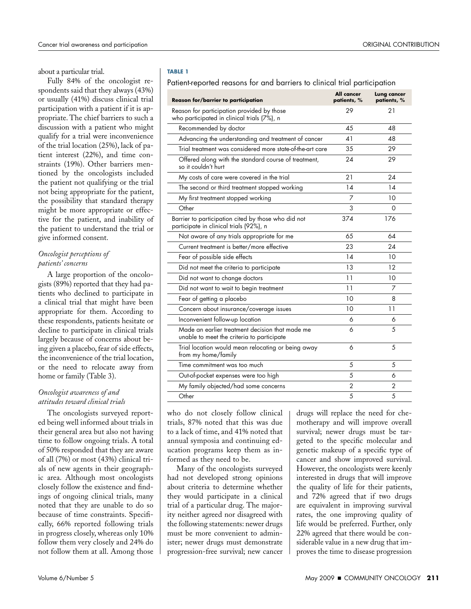about a particular trial.

Fully 84% of the oncologist respondents said that they always (43%) or usually (41%) discuss clinical trial participation with a patient if it is appropriate. The chief barriers to such a discussion with a patient who might qualify for a trial were inconvenience of the trial location (25%), lack of patient interest (22%), and time constraints (19%). Other barriers mentioned by the oncologists included the patient not qualifying or the trial not being appropriate for the patient, the possibility that standard therapy might be more appropriate or effective for the patient, and inability of the patient to understand the trial or give informed consent.

#### *Oncologist perceptions of patients' concerns*

A large proportion of the oncologists (89%) reported that they had patients who declined to participate in a clinical trial that might have been appropriate for them. According to these respondents, patients hesitate or decline to participate in clinical trials largely because of concerns about being given a placebo, fear of side effects, the inconvenience of the trial location, or the need to relocate away from home or family (Table 3).

#### *Oncologist awareness of and attitudes toward clinical trials*

The oncologists surveyed reported being well informed about trials in their general area but also not having time to follow ongoing trials. A total of 50% responded that they are aware of all (7%) or most (43%) clinical trials of new agents in their geographic area. Although most oncologists closely follow the existence and findings of ongoing clinical trials, many noted that they are unable to do so because of time constraints. Specifically, 66% reported following trials in progress closely, whereas only 10% follow them very closely and 24% do not follow them at all. Among those

#### **TABLE 1**

#### Patient-reported reasons for and barriers to clinical trial participation

| <b>Reason for/barrier to participation</b>                                                     | All cancer<br>patients, % | <b>Lung cancer</b><br>patients, % |
|------------------------------------------------------------------------------------------------|---------------------------|-----------------------------------|
| Reason for participation provided by those<br>who participated in clinical trials (7%), n      | 29                        | 21                                |
| Recommended by doctor                                                                          | 45                        | 48                                |
| Advancing the understanding and treatment of cancer                                            | 41                        | 48                                |
| Trial treatment was considered more state-of-the-art care                                      | 35                        | 29                                |
| Offered along with the standard course of treatment,<br>so it couldn't hurt                    | 24                        | 29                                |
| My costs of care were covered in the trial                                                     | 21                        | 24                                |
| The second or third treatment stopped working                                                  | 14                        | 14                                |
| My first treatment stopped working                                                             | 7                         | 10                                |
| Other                                                                                          | 3                         | 0                                 |
| Barrier to participation cited by those who did not<br>participate in clinical trials (92%), n | 374                       | 176                               |
| Not aware of any trials appropriate for me                                                     | 65                        | 64                                |
| Current treatment is better/more effective                                                     | 23                        | 24                                |
| Fear of possible side effects                                                                  | 14                        | 10                                |
| Did not meet the criteria to participate                                                       | 13                        | 12                                |
| Did not want to change doctors                                                                 | 11                        | 10                                |
| Did not want to wait to begin treatment                                                        | 11                        | 7                                 |
| Fear of getting a placebo                                                                      | 10                        | 8                                 |
| Concern about insurance/coverage issues                                                        | 10                        | 11                                |
| Inconvenient follow-up location                                                                | 6                         | 6                                 |
| Made an earlier treatment decision that made me<br>unable to meet the criteria to participate  | 6                         | 5                                 |
| Trial location would mean relocating or being away<br>from my home/family                      | 6                         | 5                                 |
| Time commitment was too much                                                                   | 5                         | 5                                 |
| Out-of-pocket expenses were too high                                                           | 5                         | 6                                 |
| My family objected/had some concerns                                                           | $\overline{2}$            | $\overline{2}$                    |
| Other                                                                                          | 5                         | 5                                 |

who do not closely follow clinical trials, 87% noted that this was due to a lack of time, and 41% noted that annual symposia and continuing education programs keep them as informed as they need to be.

Many of the oncologists surveyed had not developed strong opinions about criteria to determine whether they would participate in a clinical trial of a particular drug. The majority neither agreed nor disagreed with the following statements: newer drugs must be more convenient to administer; newer drugs must demonstrate progression-free survival; new cancer

drugs will replace the need for chemotherapy and will improve overall survival; newer drugs must be targeted to the specific molecular and genetic makeup of a specific type of cancer and show improved survival. However, the oncologists were keenly interested in drugs that will improve the quality of life for their patients, and 72% agreed that if two drugs are equivalent in improving survival rates, the one improving quality of life would be preferred. Further, only 22% agreed that there would be considerable value in a new drug that improves the time to disease progression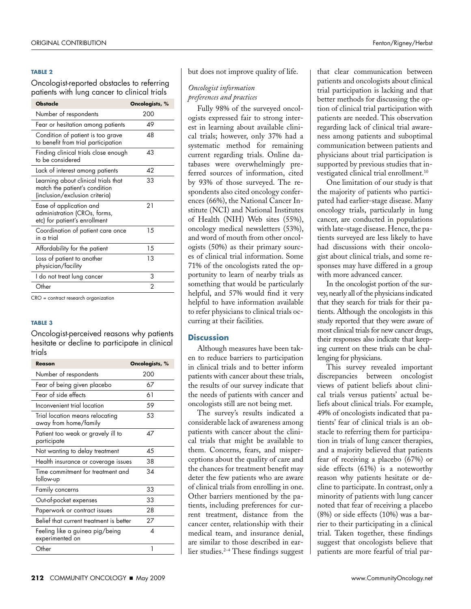#### **TABLE 2**

Oncologist-reported obstacles to referring patients with lung cancer to clinical trials

| <b>Obstacle</b>                                                                                        | Oncologists, % |
|--------------------------------------------------------------------------------------------------------|----------------|
| Number of respondents                                                                                  | 200            |
| Fear or hesitation among patients                                                                      | 49             |
| Condition of patient is too grave<br>to benefit from trial participation                               | 48             |
| Finding clinical trials close enough<br>to be considered                                               | 43             |
| Lack of interest among patients                                                                        | 42             |
| Learning about clinical trials that<br>match the patient's condition<br>(inclusion/exclusion criteria) | 33             |
| Ease of application and<br>administration (CROs, forms,<br>etc) for patient's enrollment               | 21             |
| Coordination of patient care once<br>in a trial                                                        | 15             |
| Affordability for the patient                                                                          | 15             |
| Loss of patient to another<br>physician/facility                                                       | 13             |
| I do not treat lung cancer                                                                             | 3              |
| Other                                                                                                  | 2              |

CRO = contract research organization

#### **TABLE 3**

Oncologist-perceived reasons why patients hesitate or decline to participate in clinical trials

| Reason                                                   | Oncologists, % |
|----------------------------------------------------------|----------------|
| Number of respondents                                    | 200            |
| Fear of being given placebo                              | 67             |
| Fear of side effects                                     | 61             |
| Inconvenient trial location                              | 59             |
| Trial location means relocating<br>away from home/family | 53             |
| Patient too weak or gravely ill to<br>participate        | 47             |
| Not wanting to delay treatment                           | 4.5            |
| Health insurance or coverage issues                      | 38             |
| Time commitment for treatment and<br>follow-up           | 34             |
| Family concerns                                          | 33             |
| Out-of-pocket expenses                                   | 33             |
| Paperwork or contract issues                             | 28             |
| Belief that current treatment is better                  | 27             |
| Feeling like a guinea pig/being<br>experimented on       | Δ              |
| Other                                                    | 1              |

but does not improve quality of life.

#### *Oncologist information preferences and practices*

Fully 98% of the surveyed oncologists expressed fair to strong interest in learning about available clinical trials; however, only 37% had a systematic method for remaining current regarding trials. Online databases were overwhelmingly preferred sources of information, cited by 93% of those surveyed. The respondents also cited oncology conferences (66%), the National Cancer Institute (NCI) and National Institutes of Health (NIH) Web sites (55%), oncology medical newsletters (53%), and word of mouth from other oncologists (50%) as their primary sources of clinical trial information. Some 71% of the oncologists rated the opportunity to learn of nearby trials as something that would be particularly helpful, and 57% would find it very helpful to have information available to refer physicians to clinical trials occurring at their facilities.

#### **Discussion**

Although measures have been taken to reduce barriers to participation in clinical trials and to better inform patients with cancer about these trials, the results of our survey indicate that the needs of patients with cancer and oncologists still are not being met.

The survey's results indicated a considerable lack of awareness among patients with cancer about the clinical trials that might be available to them. Concerns, fears, and misperceptions about the quality of care and the chances for treatment benefit may deter the few patients who are aware of clinical trials from enrolling in one. Other barriers mentioned by the patients, including preferences for current treatment, distance from the cancer center, relationship with their medical team, and insurance denial, are similar to those described in earlier studies.2–4 These findings suggest that clear communication between patients and oncologists about clinical trial participation is lacking and that better methods for discussing the option of clinical trial participation with patients are needed. This observation regarding lack of clinical trial awareness among patients and suboptimal communication between patients and physicians about trial participation is supported by previous studies that investigated clinical trial enrollment.<sup>10</sup>

One limitation of our study is that the majority of patients who participated had earlier-stage disease. Many oncology trials, particularly in lung cancer, are conducted in populations with late-stage disease. Hence, the patients surveyed are less likely to have had discussions with their oncologist about clinical trials, and some responses may have differed in a group with more advanced cancer.

In the oncologist portion of the survey, nearly all of the physicians indicated that they search for trials for their patients. Although the oncologists in this study reported that they were aware of most clinical trials for new cancer drugs, their responses also indicate that keeping current on these trials can be challenging for physicians.

This survey revealed important discrepancies between oncologist views of patient beliefs about clinical trials versus patients' actual beliefs about clinical trials. For example, 49% of oncologists indicated that patients' fear of clinical trials is an obstacle to referring them for participation in trials of lung cancer therapies, and a majority believed that patients fear of receiving a placebo (67%) or side effects (61%) is a noteworthy reason why patients hesitate or decline to participate. In contrast, only a minority of patients with lung cancer noted that fear of receiving a placebo (8%) or side effects (10%) was a barrier to their participating in a clinical trial. Taken together, these findings suggest that oncologists believe that patients are more fearful of trial par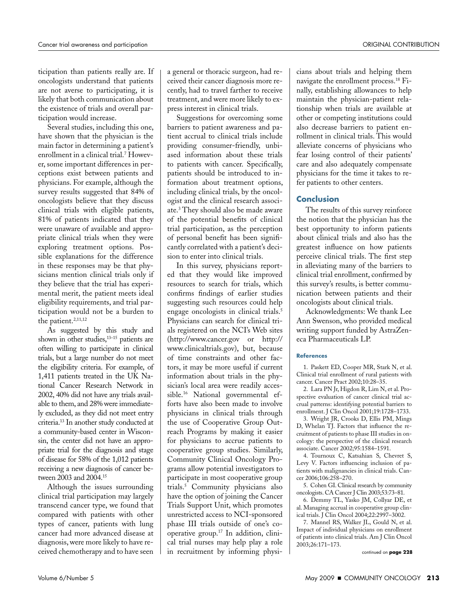ticipation than patients really are. If oncologists understand that patients are not averse to participating, it is likely that both communication about the existence of trials and overall participation would increase.

Several studies, including this one, have shown that the physician is the main factor in determining a patient's enrollment in a clinical trial.7 However, some important differences in perceptions exist between patients and physicians. For example, although the survey results suggested that 84% of oncologists believe that they discuss clinical trials with eligible patients, 81% of patients indicated that they were unaware of available and appropriate clinical trials when they were exploring treatment options. Possible explanations for the difference in these responses may be that physicians mention clinical trials only if they believe that the trial has experimental merit, the patient meets ideal eligibility requirements, and trial participation would not be a burden to the patient.<sup>2,11,12</sup>

As suggested by this study and shown in other studies,<sup>13-15</sup> patients are often willing to participate in clinical trials, but a large number do not meet the eligibility criteria. For example, of 1,411 patients treated in the UK National Cancer Research Network in 2002, 40% did not have any trials available to them, and 28% were immediately excluded, as they did not meet entry criteria.13 In another study conducted at a community-based center in Wisconsin, the center did not have an appropriate trial for the diagnosis and stage of disease for 58% of the 1,012 patients receiving a new diagnosis of cancer between 2003 and 2004.15

Although the issues surrounding clinical trial participation may largely transcend cancer type, we found that compared with patients with other types of cancer, patients with lung cancer had more advanced disease at diagnosis, were more likely to have received chemotherapy and to have seen a general or thoracic surgeon, had received their cancer diagnosis more recently, had to travel farther to receive treatment, and were more likely to express interest in clinical trials.

Suggestions for overcoming some barriers to patient awareness and patient accrual to clinical trials include providing consumer-friendly, unbiased information about these trials to patients with cancer. Specifically, patients should be introduced to information about treatment options, including clinical trials, by the oncologist and the clinical research associate.3 They should also be made aware of the potential benefits of clinical trial participation, as the perception of personal benefit has been significantly correlated with a patient's decision to enter into clinical trials.

In this survey, physicians reported that they would like improved resources to search for trials, which confirms findings of earlier studies suggesting such resources could help engage oncologists in clinical trials.<sup>5</sup> Physicians can search for clinical trials registered on the NCI's Web sites (http://www.cancer.gov or http:// www.clinicaltrials.gov), but, because of time constraints and other factors, it may be more useful if current information about trials in the physician's local area were readily accessible.16 National governmental efforts have also been made to involve physicians in clinical trials through the use of Cooperative Group Outreach Programs by making it easier for physicians to accrue patients to cooperative group studies. Similarly, Community Clinical Oncology Programs allow potential investigators to participate in most cooperative group trials.5 Community physicians also have the option of joining the Cancer Trials Support Unit, which promotes unrestricted access to NCI-sponsored phase III trials outside of one's cooperative group.17 In addition, clinical trial nurses may help play a role in recruitment by informing physicians about trials and helping them navigate the enrollment process.18 Finally, establishing allowances to help maintain the physician-patient relationship when trials are available at other or competing institutions could also decrease barriers to patient enrollment in clinical trials. This would alleviate concerns of physicians who fear losing control of their patients' care and also adequately compensate physicians for the time it takes to refer patients to other centers.

#### **Conclusion**

The results of this survey reinforce the notion that the physician has the best opportunity to inform patients about clinical trials and also has the greatest influence on how patients perceive clinical trials. The first step in alleviating many of the barriers to clinical trial enrollment, confirmed by this survey's results, is better communication between patients and their oncologists about clinical trials.

Acknowledgments: We thank Lee Ann Swenson, who provided medical writing support funded by AstraZeneca Pharmaceuticals LP.

#### **References**

1. Paskett ED, Cooper MR, Stark N, et al. Clinical trial enrollment of rural patients with cancer. Cancer Pract 2002;10:28–35.

2. Lara PN Jr, Higdon R, Lim N, et al. Prospective evaluation of cancer clinical trial accrual patterns: identifying potential barriers to enrollment. J Clin Oncol 2001;19:1728–1733.

3. Wright JR, Crooks D, Ellis PM, Mings D, Whelan TJ. Factors that influence the recruitment of patients to phase III studies in oncology: the perspective of the clinical research associate. Cancer 2002;95:1584–1591.

4. Tournoux C, Katsahian S, Chevret S, Levy V. Factors influencing inclusion of patients with malignancies in clinical trials. Cancer 2006;106:258–270.

5. Cohen GI. Clinical research by community oncologists. CA Cancer J Clin 2003;53:73–81.

6. Demmy TL, Yasko JM, Collyar DE, et al. Managing accrual in cooperative group clinical trials. J Clin Oncol 2004;22:2997–3002.

7. Mannel RS, Walker JL, Gould N, et al. Impact of individual physicians on enrollment of patients into clinical trials. Am J Clin Oncol 2003;26:171–173.

continued on **page 228**